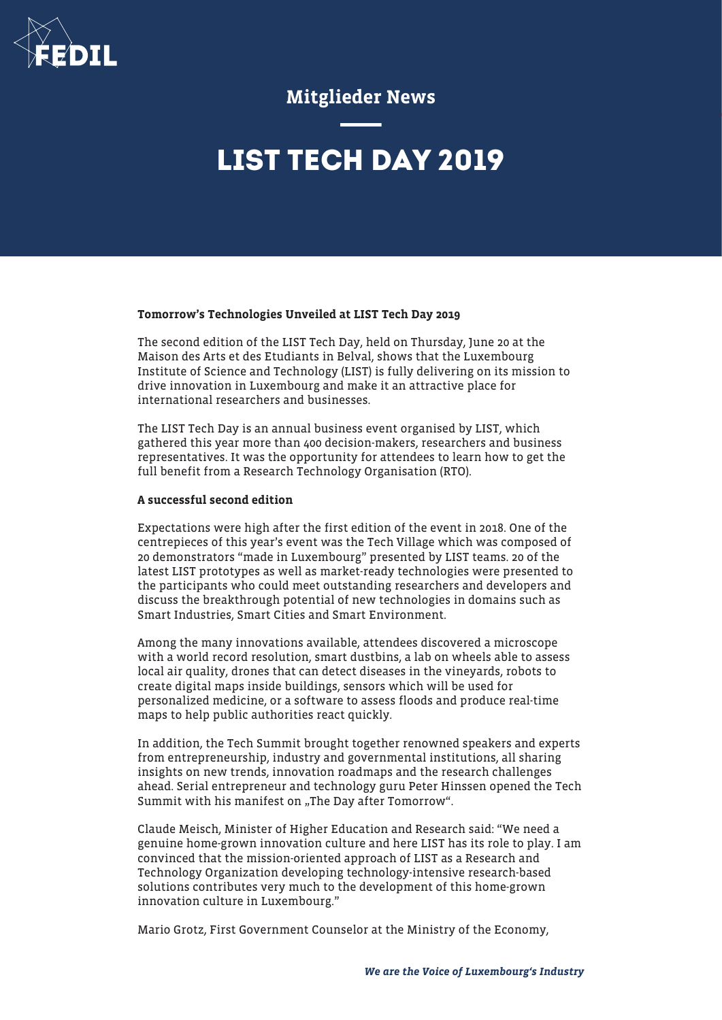

## Mitglieder News

# **LIST TECH DAY 2019**

### Tomorrow's Technologies Unveiled at LIST Tech Day 2019

The second edition of the LIST Tech Day, held on Thursday, June 20 at the Maison des Arts et des Etudiants in Belval, shows that the Luxembourg Institute of Science and Technology (LIST) is fully delivering on its mission to drive innovation in Luxembourg and make it an attractive place for international researchers and businesses.

The LIST Tech Day is an annual business event organised by LIST, which gathered this year more than 400 decision-makers, researchers and business representatives. It was the opportunity for attendees to learn how to get the full benefit from a Research Technology Organisation (RTO).

### A successful second edition

Expectations were high after the first edition of the event in 2018. One of the centrepieces of this year's event was the Tech Village which was composed of 20 demonstrators "made in Luxembourg" presented by LIST teams. 20 of the latest LIST prototypes as well as market-ready technologies were presented to the participants who could meet outstanding researchers and developers and discuss the breakthrough potential of new technologies in domains such as Smart Industries, Smart Cities and Smart Environment.

Among the many innovations available, attendees discovered a microscope with a world record resolution, smart dustbins, a lab on wheels able to assess local air quality, drones that can detect diseases in the vineyards, robots to create digital maps inside buildings, sensors which will be used for personalized medicine, or a software to assess floods and produce real-time maps to help public authorities react quickly.

In addition, the Tech Summit brought together renowned speakers and experts from entrepreneurship, industry and governmental institutions, all sharing insights on new trends, innovation roadmaps and the research challenges ahead. Serial entrepreneur and technology guru Peter Hinssen opened the Tech Summit with his manifest on "The Day after Tomorrow".

Claude Meisch, Minister of Higher Education and Research said: "We need a genuine home-grown innovation culture and here LIST has its role to play. I am convinced that the mission-oriented approach of LIST as a Research and Technology Organization developing technology-intensive research-based solutions contributes very much to the development of this home-grown innovation culture in Luxembourg."

Mario Grotz, First Government Counselor at the Ministry of the Economy,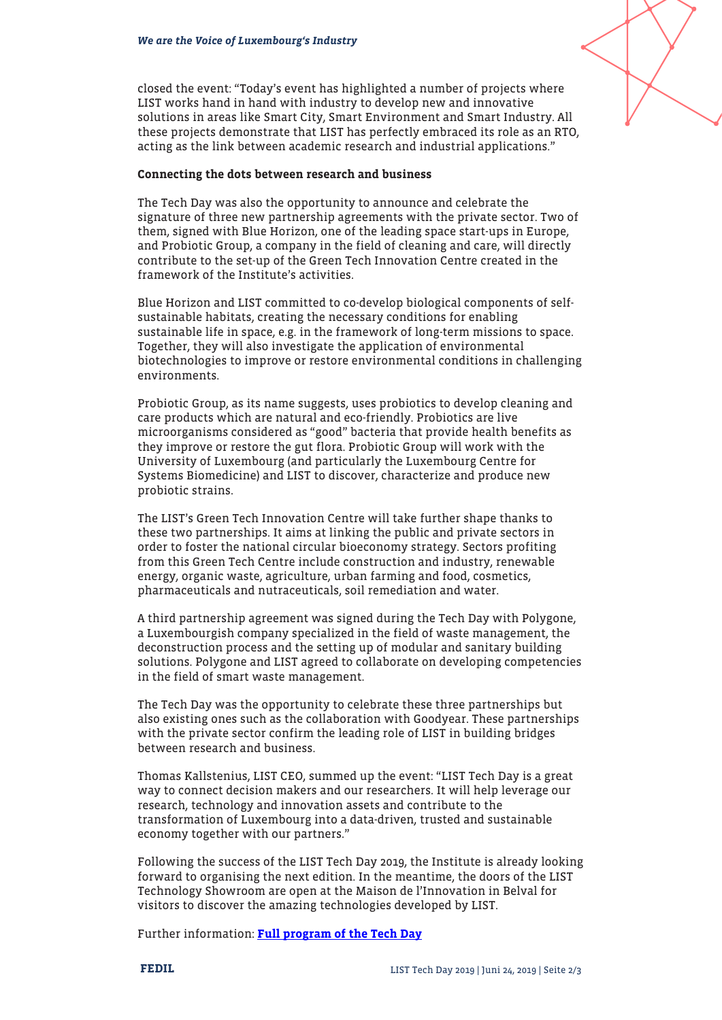closed the event: "Today's event has highlighted a number of projects where LIST works hand in hand with industry to develop new and innovative solutions in areas like Smart City, Smart Environment and Smart Industry. All these projects demonstrate that LIST has perfectly embraced its role as an RTO, acting as the link between academic research and industrial applications."

#### Connecting the dots between research and business

The Tech Day was also the opportunity to announce and celebrate the signature of three new partnership agreements with the private sector. Two of them, signed with Blue Horizon, one of the leading space start-ups in Europe, and Probiotic Group, a company in the field of cleaning and care, will directly contribute to the set-up of the Green Tech Innovation Centre created in the framework of the Institute's activities.

Blue Horizon and LIST committed to co-develop biological components of selfsustainable habitats, creating the necessary conditions for enabling sustainable life in space, e.g. in the framework of long-term missions to space. Together, they will also investigate the application of environmental biotechnologies to improve or restore environmental conditions in challenging environments.

Probiotic Group, as its name suggests, uses probiotics to develop cleaning and care products which are natural and eco-friendly. Probiotics are live microorganisms considered as "good" bacteria that provide health benefits as they improve or restore the gut flora. Probiotic Group will work with the University of Luxembourg (and particularly the Luxembourg Centre for Systems Biomedicine) and LIST to discover, characterize and produce new probiotic strains.

The LIST's Green Tech Innovation Centre will take further shape thanks to these two partnerships. It aims at linking the public and private sectors in order to foster the national circular bioeconomy strategy. Sectors profiting from this Green Tech Centre include construction and industry, renewable energy, organic waste, agriculture, urban farming and food, cosmetics, pharmaceuticals and nutraceuticals, soil remediation and water.

A third partnership agreement was signed during the Tech Day with Polygone, a Luxembourgish company specialized in the field of waste management, the deconstruction process and the setting up of modular and sanitary building solutions. Polygone and LIST agreed to collaborate on developing competencies in the field of smart waste management.

The Tech Day was the opportunity to celebrate these three partnerships but also existing ones such as the collaboration with Goodyear. These partnerships with the private sector confirm the leading role of LIST in building bridges between research and business.

Thomas Kallstenius, LIST CEO, summed up the event: "LIST Tech Day is a great way to connect decision makers and our researchers. It will help leverage our research, technology and innovation assets and contribute to the transformation of Luxembourg into a data-driven, trusted and sustainable economy together with our partners."

Following the success of the LIST Tech Day 2019, the Institute is already looking forward to organising the next edition. In the meantime, the doors of the LIST Technology Showroom are open at the Maison de l'Innovation in Belval for visitors to discover the amazing technologies developed by LIST.

Further information: [Full program of the Tech Day](https://www.list.lu/en/media-centre/past-events/past-event/?tx_listevent_pi2%5Bsitec%5D=741&cHash=1421de87d500555bed4021b6af264985)